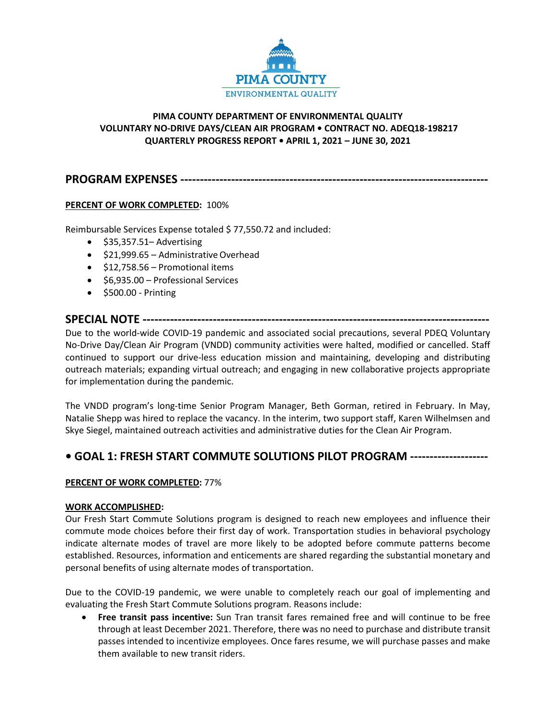

### **PIMA COUNTY DEPARTMENT OF ENVIRONMENTAL QUALITY VOLUNTARY NO-DRIVE DAYS/CLEAN AIR PROGRAM • CONTRACT NO. ADEQ18-198217 QUARTERLY PROGRESS REPORT • APRIL 1, 2021 – JUNE 30, 2021**

**PROGRAM EXPENSES -------------------------------------------------------------------------------**

### **PERCENT OF WORK COMPLETED:** 100%

Reimbursable Services Expense totaled \$ 77,550.72 and included:

- \$35,357.51– Advertising
- \$21,999.65 Administrative Overhead
- \$12,758.56 Promotional items
- \$6,935.00 Professional Services
- \$500.00 Printing

# **SPECIAL NOTE -----------------------------------------------------------------------------------------**

Due to the world-wide COVID-19 pandemic and associated social precautions, several PDEQ Voluntary No-Drive Day/Clean Air Program (VNDD) community activities were halted, modified or cancelled. Staff continued to support our drive-less education mission and maintaining, developing and distributing outreach materials; expanding virtual outreach; and engaging in new collaborative projects appropriate for implementation during the pandemic.

The VNDD program's long-time Senior Program Manager, Beth Gorman, retired in February. In May, Natalie Shepp was hired to replace the vacancy. In the interim, two support staff, Karen Wilhelmsen and Skye Siegel, maintained outreach activities and administrative duties for the Clean Air Program.

## **• GOAL 1: FRESH START COMMUTE SOLUTIONS PILOT PROGRAM --------------------**

### **PERCENT OF WORK COMPLETED:** 77%

### **WORK ACCOMPLISHED:**

Our Fresh Start Commute Solutions program is designed to reach new employees and influence their commute mode choices before their first day of work. Transportation studies in behavioral psychology indicate alternate modes of travel are more likely to be adopted before commute patterns become established. Resources, information and enticements are shared regarding the substantial monetary and personal benefits of using alternate modes of transportation.

Due to the COVID-19 pandemic, we were unable to completely reach our goal of implementing and evaluating the Fresh Start Commute Solutions program. Reasons include:

• **Free transit pass incentive:** Sun Tran transit fares remained free and will continue to be free through at least December 2021. Therefore, there was no need to purchase and distribute transit passes intended to incentivize employees. Once fares resume, we will purchase passes and make them available to new transit riders.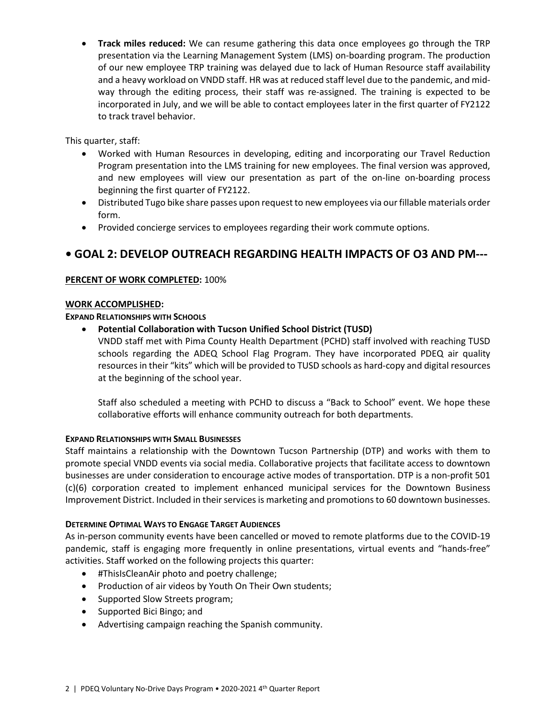• **Track miles reduced:** We can resume gathering this data once employees go through the TRP presentation via the Learning Management System (LMS) on-boarding program. The production of our new employee TRP training was delayed due to lack of Human Resource staff availability and a heavy workload on VNDD staff. HR was at reduced staff level due to the pandemic, and midway through the editing process, their staff was re-assigned. The training is expected to be incorporated in July, and we will be able to contact employees later in the first quarter of FY2122 to track travel behavior.

This quarter, staff:

- Worked with Human Resources in developing, editing and incorporating our Travel Reduction Program presentation into the LMS training for new employees. The final version was approved, and new employees will view our presentation as part of the on-line on-boarding process beginning the first quarter of FY2122.
- Distributed Tugo bike share passes upon request to new employees via our fillable materials order form.
- Provided concierge services to employees regarding their work commute options.

# **• GOAL 2: DEVELOP OUTREACH REGARDING HEALTH IMPACTS OF O3 AND PM---**

### **PERCENT OF WORK COMPLETED:** 100%

### **WORK ACCOMPLISHED:**

**EXPAND RELATIONSHIPS WITH SCHOOLS** 

• **Potential Collaboration with Tucson Unified School District (TUSD)**

VNDD staff met with Pima County Health Department (PCHD) staff involved with reaching TUSD schools regarding the ADEQ School Flag Program. They have incorporated PDEQ air quality resources in their "kits" which will be provided to TUSD schools as hard-copy and digital resources at the beginning of the school year.

Staff also scheduled a meeting with PCHD to discuss a "Back to School" event. We hope these collaborative efforts will enhance community outreach for both departments.

### **EXPAND RELATIONSHIPS WITH SMALL BUSINESSES**

Staff maintains a relationship with the Downtown Tucson Partnership (DTP) and works with them to promote special VNDD events via social media. Collaborative projects that facilitate access to downtown businesses are under consideration to encourage active modes of transportation. DTP is a non-profit 501 (c)(6) corporation created to implement enhanced municipal services for the Downtown Business Improvement District. Included in their services is marketing and promotionsto 60 downtown businesses.

### **DETERMINE OPTIMAL WAYS TO ENGAGE TARGET AUDIENCES**

As in-person community events have been cancelled or moved to remote platforms due to the COVID-19 pandemic, staff is engaging more frequently in online presentations, virtual events and "hands-free" activities. Staff worked on the following projects this quarter:

- #ThisIsCleanAir photo and poetry challenge;
- Production of air videos by Youth On Their Own students;
- Supported Slow Streets program;
- Supported Bici Bingo; and
- Advertising campaign reaching the Spanish community.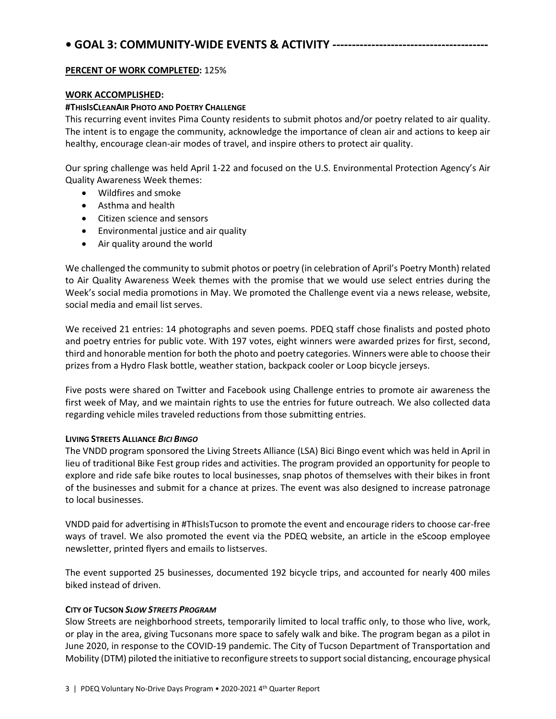# **• GOAL 3: COMMUNITY-WIDE EVENTS & ACTIVITY ----------------------------------------**

#### **PERCENT OF WORK COMPLETED:** 125%

#### **WORK ACCOMPLISHED:**

### **#THISISCLEANAIR PHOTO AND POETRY CHALLENGE**

This recurring event invites Pima County residents to submit photos and/or poetry related to air quality. The intent is to engage the community, acknowledge the importance of clean air and actions to keep air healthy, encourage clean-air modes of travel, and inspire others to protect air quality.

Our spring challenge was held April 1-22 and focused on the U.S. Environmental Protection Agency's Air Quality Awareness Week themes:

- Wildfires and smoke
- Asthma and health
- Citizen science and sensors
- Environmental justice and air quality
- Air quality around the world

We challenged the community to submit photos or poetry (in celebration of April's Poetry Month) related to Air Quality Awareness Week themes with the promise that we would use select entries during the Week's social media promotions in May. We promoted the Challenge event via a news release, website, social media and email list serves.

We received 21 entries: 14 photographs and seven poems. PDEQ staff chose finalists and posted photo and poetry entries for public vote. With 197 votes, eight winners were awarded prizes for first, second, third and honorable mention for both the photo and poetry categories. Winners were able to choose their prizes from a Hydro Flask bottle, weather station, backpack cooler or Loop bicycle jerseys.

Five posts were shared on Twitter and Facebook using Challenge entries to promote air awareness the first week of May, and we maintain rights to use the entries for future outreach. We also collected data regarding vehicle miles traveled reductions from those submitting entries.

#### **LIVING STREETS ALLIANCE** *BICI BINGO*

The VNDD program sponsored the Living Streets Alliance (LSA) Bici Bingo event which was held in April in lieu of traditional Bike Fest group rides and activities. The program provided an opportunity for people to explore and ride safe bike routes to local businesses, snap photos of themselves with their bikes in front of the businesses and submit for a chance at prizes. The event was also designed to increase patronage to local businesses.

VNDD paid for advertising in #ThisIsTucson to promote the event and encourage riders to choose car-free ways of travel. We also promoted the event via the PDEQ website, an article in the eScoop employee newsletter, printed flyers and emails to listserves.

The event supported 25 businesses, documented 192 bicycle trips, and accounted for nearly 400 miles biked instead of driven.

### **CITY OF TUCSON** *SLOW STREETS PROGRAM*

Slow Streets are neighborhood streets, temporarily limited to local traffic only, to those who live, work, or play in the area, giving Tucsonans more space to safely walk and bike. The program began as a pilot in June 2020, in response to the COVID-19 pandemic. The City of Tucson Department of Transportation and Mobility (DTM) piloted the initiative to reconfigure streets to support social distancing, encourage physical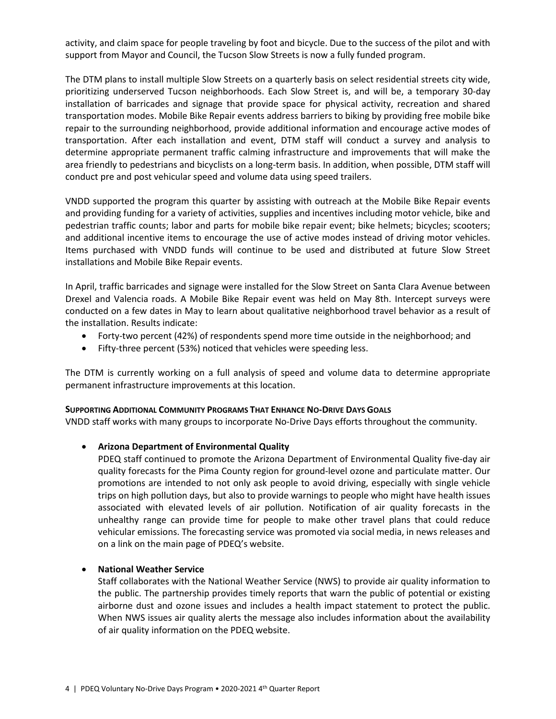activity, and claim space for people traveling by foot and bicycle. Due to the success of the pilot and with support from Mayor and Council, the Tucson Slow Streets is now a fully funded program.

The DTM plans to install multiple Slow Streets on a quarterly basis on select residential streets city wide, prioritizing underserved Tucson neighborhoods. Each Slow Street is, and will be, a temporary 30-day installation of barricades and signage that provide space for physical activity, recreation and shared transportation modes. Mobile Bike Repair events address barriers to biking by providing free mobile bike repair to the surrounding neighborhood, provide additional information and encourage active modes of transportation. After each installation and event, DTM staff will conduct a survey and analysis to determine appropriate permanent traffic calming infrastructure and improvements that will make the area friendly to pedestrians and bicyclists on a long-term basis. In addition, when possible, DTM staff will conduct pre and post vehicular speed and volume data using speed trailers.

VNDD supported the program this quarter by assisting with outreach at the Mobile Bike Repair events and providing funding for a variety of activities, supplies and incentives including motor vehicle, bike and pedestrian traffic counts; labor and parts for mobile bike repair event; bike helmets; bicycles; scooters; and additional incentive items to encourage the use of active modes instead of driving motor vehicles. Items purchased with VNDD funds will continue to be used and distributed at future Slow Street installations and Mobile Bike Repair events.

In April, traffic barricades and signage were installed for the Slow Street on Santa Clara Avenue between Drexel and Valencia roads. A Mobile Bike Repair event was held on May 8th. Intercept surveys were conducted on a few dates in May to learn about qualitative neighborhood travel behavior as a result of the installation. Results indicate:

- Forty-two percent (42%) of respondents spend more time outside in the neighborhood; and
- Fifty-three percent (53%) noticed that vehicles were speeding less.

The DTM is currently working on a full analysis of speed and volume data to determine appropriate permanent infrastructure improvements at this location.

### **SUPPORTING ADDITIONAL COMMUNITY PROGRAMS THAT ENHANCE NO-DRIVE DAYS GOALS**

VNDD staff works with many groups to incorporate No-Drive Days efforts throughout the community.

### • **Arizona Department of Environmental Quality**

PDEQ staff continued to promote the Arizona Department of Environmental Quality five-day air quality forecasts for the Pima County region for ground-level ozone and particulate matter. Our promotions are intended to not only ask people to avoid driving, especially with single vehicle trips on high pollution days, but also to provide warnings to people who might have health issues associated with elevated levels of air pollution. Notification of air quality forecasts in the unhealthy range can provide time for people to make other travel plans that could reduce vehicular emissions. The forecasting service was promoted via social media, in news releases and on a link on the main page of PDEQ's website.

### • **National Weather Service**

Staff collaborates with the National Weather Service (NWS) to provide air quality information to the public. The partnership provides timely reports that warn the public of potential or existing airborne dust and ozone issues and includes a health impact statement to protect the public. When NWS issues air quality alerts the message also includes information about the availability of air quality information on the PDEQ website.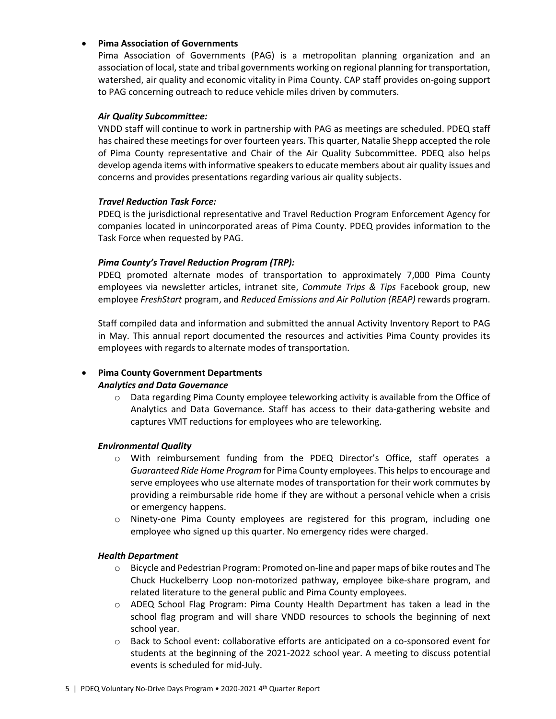#### • **Pima Association of Governments**

Pima Association of Governments (PAG) is a metropolitan planning organization and an association of local, state and tribal governments working on regional planning for transportation, watershed, air quality and economic vitality in Pima County. CAP staff provides on-going support to PAG concerning outreach to reduce vehicle miles driven by commuters.

#### *Air Quality Subcommittee:*

VNDD staff will continue to work in partnership with PAG as meetings are scheduled. PDEQ staff has chaired these meetings for over fourteen years. This quarter, Natalie Shepp accepted the role of Pima County representative and Chair of the Air Quality Subcommittee. PDEQ also helps develop agenda items with informative speakers to educate members about air quality issues and concerns and provides presentations regarding various air quality subjects.

#### *Travel Reduction Task Force:*

PDEQ is the jurisdictional representative and Travel Reduction Program Enforcement Agency for companies located in unincorporated areas of Pima County. PDEQ provides information to the Task Force when requested by PAG.

### *Pima County's Travel Reduction Program (TRP):*

PDEQ promoted alternate modes of transportation to approximately 7,000 Pima County employees via newsletter articles, intranet site, *Commute Trips & Tips* Facebook group, new employee *FreshStart* program, and *Reduced Emissions and Air Pollution (REAP)* rewards program.

Staff compiled data and information and submitted the annual Activity Inventory Report to PAG in May. This annual report documented the resources and activities Pima County provides its employees with regards to alternate modes of transportation.

#### • **Pima County Government Departments**  *Analytics and Data Governance*

 $\circ$  Data regarding Pima County employee teleworking activity is available from the Office of Analytics and Data Governance. Staff has access to their data-gathering website and captures VMT reductions for employees who are teleworking.

#### *Environmental Quality*

- o With reimbursement funding from the PDEQ Director's Office, staff operates a *Guaranteed Ride Home Program* for Pima County employees. This helps to encourage and serve employees who use alternate modes of transportation for their work commutes by providing a reimbursable ride home if they are without a personal vehicle when a crisis or emergency happens.
- o Ninety-one Pima County employees are registered for this program, including one employee who signed up this quarter. No emergency rides were charged.

#### *Health Department*

- o Bicycle and Pedestrian Program: Promoted on-line and paper maps of bike routes and The Chuck Huckelberry Loop non-motorized pathway, employee bike-share program, and related literature to the general public and Pima County employees.
- o ADEQ School Flag Program: Pima County Health Department has taken a lead in the school flag program and will share VNDD resources to schools the beginning of next school year.
- o Back to School event: collaborative efforts are anticipated on a co-sponsored event for students at the beginning of the 2021-2022 school year. A meeting to discuss potential events is scheduled for mid-July.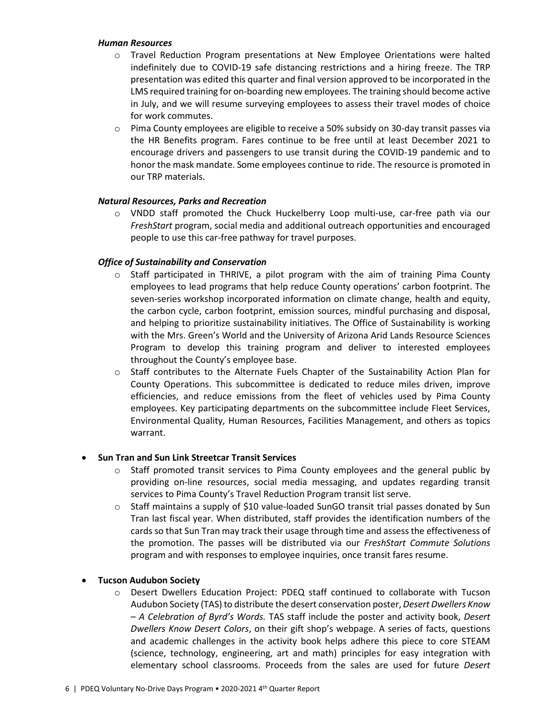#### *Human Resources*

- o Travel Reduction Program presentations at New Employee Orientations were halted indefinitely due to COVID-19 safe distancing restrictions and a hiring freeze. The TRP presentation was edited this quarter and final version approved to be incorporated in the LMS required training for on-boarding new employees. The training should become active in July, and we will resume surveying employees to assess their travel modes of choice for work commutes.
- $\circ$  Pima County employees are eligible to receive a 50% subsidy on 30-day transit passes via the HR Benefits program. Fares continue to be free until at least December 2021 to encourage drivers and passengers to use transit during the COVID-19 pandemic and to honor the mask mandate. Some employees continue to ride. The resource is promoted in our TRP materials.

### *Natural Resources, Parks and Recreation*

o VNDD staff promoted the Chuck Huckelberry Loop multi-use, car-free path via our *FreshStart* program, social media and additional outreach opportunities and encouraged people to use this car-free pathway for travel purposes.

### *Office of Sustainability and Conservation*

- $\circ$  Staff participated in THRIVE, a pilot program with the aim of training Pima County employees to lead programs that help reduce County operations' carbon footprint. The seven-series workshop incorporated information on climate change, health and equity, the carbon cycle, carbon footprint, emission sources, mindful purchasing and disposal, and helping to prioritize sustainability initiatives. The Office of Sustainability is working with the Mrs. Green's World and the University of Arizona Arid Lands Resource Sciences Program to develop this training program and deliver to interested employees throughout the County's employee base.
- o Staff contributes to the Alternate Fuels Chapter of the Sustainability Action Plan for County Operations. This subcommittee is dedicated to reduce miles driven, improve efficiencies, and reduce emissions from the fleet of vehicles used by Pima County employees. Key participating departments on the subcommittee include Fleet Services, Environmental Quality, Human Resources, Facilities Management, and others as topics warrant.

## • **Sun Tran and Sun Link Streetcar Transit Services**

- $\circ$  Staff promoted transit services to Pima County employees and the general public by providing on-line resources, social media messaging, and updates regarding transit services to Pima County's Travel Reduction Program transit list serve.
- $\circ$  Staff maintains a supply of \$10 value-loaded SunGO transit trial passes donated by Sun Tran last fiscal year. When distributed, staff provides the identification numbers of the cards so that Sun Tran may track their usage through time and assess the effectiveness of the promotion. The passes will be distributed via our *FreshStart Commute Solutions*  program and with responses to employee inquiries, once transit fares resume.

### • **Tucson Audubon Society**

o Desert Dwellers Education Project: PDEQ staff continued to collaborate with Tucson Audubon Society (TAS) to distribute the desert conservation poster, *Desert Dwellers Know – A Celebration of Byrd's Words.* TAS staff include the poster and activity book, *Desert Dwellers Know Desert Colors*, on their gift shop's webpage. A series of facts, questions and academic challenges in the activity book helps adhere this piece to core STEAM (science, technology, engineering, art and math) principles for easy integration with elementary school classrooms. Proceeds from the sales are used for future *Desert*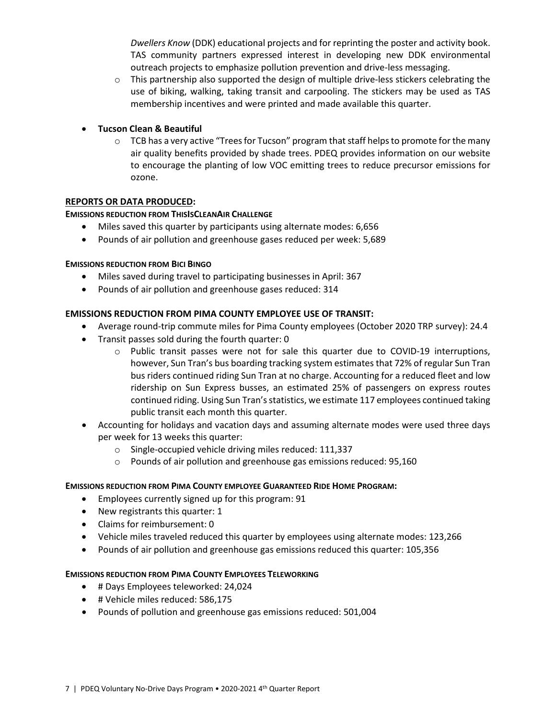*Dwellers Know* (DDK) educational projects and for reprinting the poster and activity book. TAS community partners expressed interest in developing new DDK environmental outreach projects to emphasize pollution prevention and drive-less messaging.

- $\circ$  This partnership also supported the design of multiple drive-less stickers celebrating the use of biking, walking, taking transit and carpooling. The stickers may be used as TAS membership incentives and were printed and made available this quarter.
- **Tucson Clean & Beautiful**
	- $\circ$  TCB has a very active "Trees for Tucson" program that staff helps to promote for the many air quality benefits provided by shade trees. PDEQ provides information on our website to encourage the planting of low VOC emitting trees to reduce precursor emissions for ozone.

#### **REPORTS OR DATA PRODUCED:**

### **EMISSIONS REDUCTION FROM THISISCLEANAIR CHALLENGE**

- Miles saved this quarter by participants using alternate modes: 6,656
- Pounds of air pollution and greenhouse gases reduced per week: 5,689

#### **EMISSIONS REDUCTION FROM BICI BINGO**

- Miles saved during travel to participating businesses in April: 367
- Pounds of air pollution and greenhouse gases reduced: 314

### **EMISSIONS REDUCTION FROM PIMA COUNTY EMPLOYEE USE OF TRANSIT:**

- Average round-trip commute miles for Pima County employees (October 2020 TRP survey): 24.4
- Transit passes sold during the fourth quarter: 0
	- o Public transit passes were not for sale this quarter due to COVID-19 interruptions, however, Sun Tran's bus boarding tracking system estimates that 72% of regular Sun Tran bus riders continued riding Sun Tran at no charge. Accounting for a reduced fleet and low ridership on Sun Express busses, an estimated 25% of passengers on express routes continued riding. Using Sun Tran's statistics, we estimate 117 employees continued taking public transit each month this quarter.
- Accounting for holidays and vacation days and assuming alternate modes were used three days per week for 13 weeks this quarter:
	- o Single-occupied vehicle driving miles reduced: 111,337
	- $\circ$  Pounds of air pollution and greenhouse gas emissions reduced: 95,160

#### **EMISSIONS REDUCTION FROM PIMA COUNTY EMPLOYEE GUARANTEED RIDE HOME PROGRAM:**

- Employees currently signed up for this program: 91
- New registrants this quarter: 1
- Claims for reimbursement: 0
- Vehicle miles traveled reduced this quarter by employees using alternate modes: 123,266
- Pounds of air pollution and greenhouse gas emissions reduced this quarter: 105,356

#### **EMISSIONS REDUCTION FROM PIMA COUNTY EMPLOYEES TELEWORKING**

- # Days Employees teleworked: 24,024
- # Vehicle miles reduced: 586,175
- Pounds of pollution and greenhouse gas emissions reduced: 501,004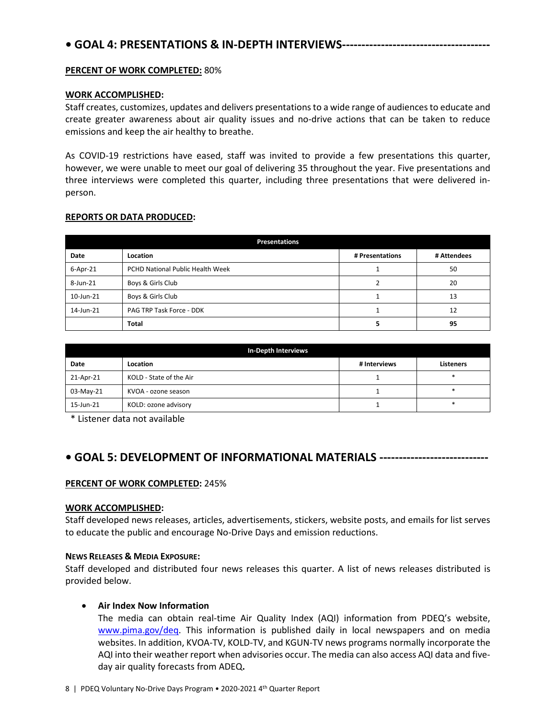## **• GOAL 4: PRESENTATIONS & IN-DEPTH INTERVIEWS--------------------------------------**

#### **PERCENT OF WORK COMPLETED:** 80%

#### **WORK ACCOMPLISHED:**

Staff creates, customizes, updates and delivers presentations to a wide range of audiences to educate and create greater awareness about air quality issues and no-drive actions that can be taken to reduce emissions and keep the air healthy to breathe.

As COVID-19 restrictions have eased, staff was invited to provide a few presentations this quarter, however, we were unable to meet our goal of delivering 35 throughout the year. Five presentations and three interviews were completed this quarter, including three presentations that were delivered inperson.

#### **REPORTS OR DATA PRODUCED:**

| <b>Presentations</b> |                                  |                 |             |  |
|----------------------|----------------------------------|-----------------|-------------|--|
| Date                 | Location                         | # Presentations | # Attendees |  |
| $6 - Apr - 21$       | PCHD National Public Health Week |                 | 50          |  |
| 8-Jun-21             | Boys & Girls Club                |                 | 20          |  |
| 10-Jun-21            | Boys & Girls Club                |                 | 13          |  |
| 14-Jun-21            | PAG TRP Task Force - DDK         |                 | 12          |  |
|                      | <b>Total</b>                     |                 | 95          |  |

| In-Depth Interviews |                         |              |                  |  |
|---------------------|-------------------------|--------------|------------------|--|
| Date                | Location                | # Interviews | <b>Listeners</b> |  |
| 21-Apr-21           | KOLD - State of the Air |              |                  |  |
| 03-May-21           | KVOA - ozone season     |              |                  |  |
| 15-Jun-21           | KOLD: ozone advisory    |              |                  |  |

\* Listener data not available

## **• GOAL 5: DEVELOPMENT OF INFORMATIONAL MATERIALS ----------------------------**

#### **PERCENT OF WORK COMPLETED:** 245%

#### **WORK ACCOMPLISHED:**

Staff developed news releases, articles, advertisements, stickers, website posts, and emails for list serves to educate the public and encourage No-Drive Days and emission reductions.

#### **NEWS RELEASES & MEDIA EXPOSURE:**

Staff developed and distributed four news releases this quarter. A list of news releases distributed is provided below.

### • **Air Index Now Information**

The media can obtain real-time Air Quality Index (AQI) information from PDEQ's website, [www.pima.gov/deq.](http://www.pima.gov/deq) This information is published daily in local newspapers and on media websites. In addition, KVOA-TV, KOLD-TV, and KGUN-TV news programs normally incorporate the AQI into their weather report when advisories occur. The media can also access AQI data and fiveday air quality forecasts from ADEQ**.**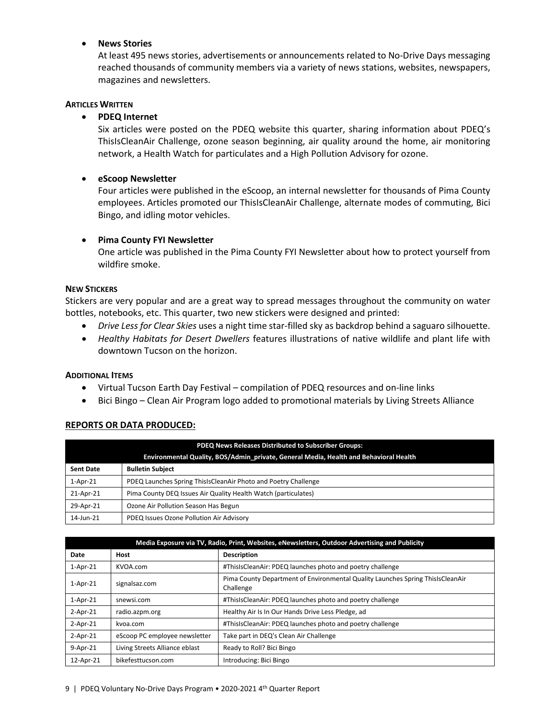### • **News Stories**

At least 495 news stories, advertisements or announcements related to No-Drive Days messaging reached thousands of community members via a variety of news stations, websites, newspapers, magazines and newsletters.

#### **ARTICLES WRITTEN**

### • **PDEQ Internet**

Six articles were posted on the PDEQ website this quarter, sharing information about PDEQ's ThisIsCleanAir Challenge, ozone season beginning, air quality around the home, air monitoring network, a Health Watch for particulates and a High Pollution Advisory for ozone.

### • **eScoop Newsletter**

Four articles were published in the eScoop, an internal newsletter for thousands of Pima County employees. Articles promoted our ThisIsCleanAir Challenge, alternate modes of commuting, Bici Bingo, and idling motor vehicles.

### • **Pima County FYI Newsletter**

One article was published in the Pima County FYI Newsletter about how to protect yourself from wildfire smoke.

#### **NEW STICKERS**

Stickers are very popular and are a great way to spread messages throughout the community on water bottles, notebooks, etc. This quarter, two new stickers were designed and printed:

- *Drive Less for Clear Skies* uses a night time star-filled sky as backdrop behind a saguaro silhouette.
- *Healthy Habitats for Desert Dwellers* features illustrations of native wildlife and plant life with downtown Tucson on the horizon.

#### **ADDITIONAL ITEMS**

- Virtual Tucson Earth Day Festival compilation of PDEQ resources and on-line links
- Bici Bingo Clean Air Program logo added to promotional materials by Living Streets Alliance

#### **REPORTS OR DATA PRODUCED:**

|                                                                                       | PDEQ News Releases Distributed to Subscriber Groups:           |  |  |
|---------------------------------------------------------------------------------------|----------------------------------------------------------------|--|--|
| Environmental Quality, BOS/Admin private, General Media, Health and Behavioral Health |                                                                |  |  |
| <b>Sent Date</b>                                                                      | <b>Bulletin Subject</b>                                        |  |  |
| $1$ -Apr-21                                                                           | PDEQ Launches Spring ThislsCleanAir Photo and Poetry Challenge |  |  |
| 21-Apr-21                                                                             | Pima County DEQ Issues Air Quality Health Watch (particulates) |  |  |
| 29-Apr-21                                                                             | Ozone Air Pollution Season Has Begun                           |  |  |
| 14-Jun-21                                                                             | PDEQ Issues Ozone Pollution Air Advisory                       |  |  |

| Media Exposure via TV, Radio, Print, Websites, eNewsletters, Outdoor Advertising and Publicity |                                |                                                                                             |  |
|------------------------------------------------------------------------------------------------|--------------------------------|---------------------------------------------------------------------------------------------|--|
| Date                                                                                           | <b>Host</b>                    | <b>Description</b>                                                                          |  |
| $1-Apr-21$                                                                                     | KVOA.com                       | #ThisIsCleanAir: PDEQ launches photo and poetry challenge                                   |  |
| $1-Apr-21$                                                                                     | signalsaz.com                  | Pima County Department of Environmental Quality Launches Spring ThislsCleanAir<br>Challenge |  |
| $1-Apr-21$                                                                                     | snewsi.com                     | #ThisIsCleanAir: PDEQ launches photo and poetry challenge                                   |  |
| $2-Apr-21$                                                                                     | radio.azpm.org                 | Healthy Air Is In Our Hands Drive Less Pledge, ad                                           |  |
| $2-Apr-21$                                                                                     | kyoa.com                       | #ThisIsCleanAir: PDEQ launches photo and poetry challenge                                   |  |
| $2-Apr-21$                                                                                     | eScoop PC employee newsletter  | Take part in DEQ's Clean Air Challenge                                                      |  |
| 9-Apr-21                                                                                       | Living Streets Alliance eblast | Ready to Roll? Bici Bingo                                                                   |  |
| 12-Apr-21                                                                                      | bikefesttucson.com             | Introducing: Bici Bingo                                                                     |  |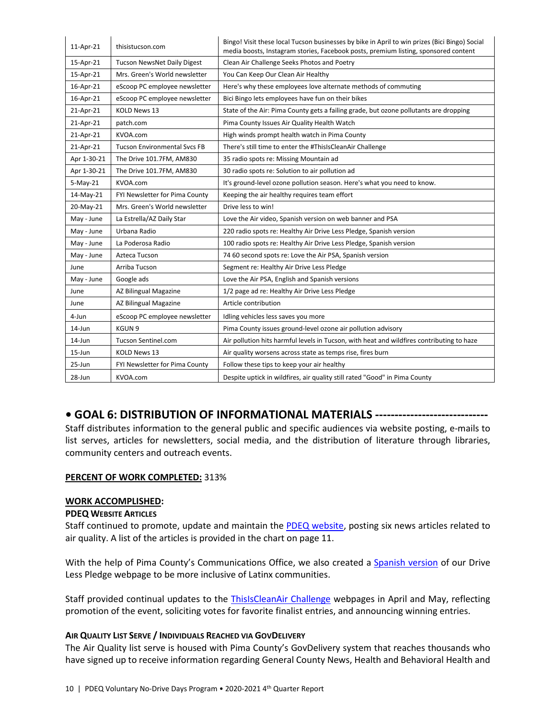| 11-Apr-21   | thisistucson.com                    | Bingo! Visit these local Tucson businesses by bike in April to win prizes (Bici Bingo) Social<br>media boosts, Instagram stories, Facebook posts, premium listing, sponsored content |
|-------------|-------------------------------------|--------------------------------------------------------------------------------------------------------------------------------------------------------------------------------------|
| 15-Apr-21   | <b>Tucson NewsNet Daily Digest</b>  | Clean Air Challenge Seeks Photos and Poetry                                                                                                                                          |
| 15-Apr-21   | Mrs. Green's World newsletter       | You Can Keep Our Clean Air Healthy                                                                                                                                                   |
| 16-Apr-21   | eScoop PC employee newsletter       | Here's why these employees love alternate methods of commuting                                                                                                                       |
| 16-Apr-21   | eScoop PC employee newsletter       | Bici Bingo lets employees have fun on their bikes                                                                                                                                    |
| 21-Apr-21   | KOLD News 13                        | State of the Air: Pima County gets a failing grade, but ozone pollutants are dropping                                                                                                |
| 21-Apr-21   | patch.com                           | Pima County Issues Air Quality Health Watch                                                                                                                                          |
| 21-Apr-21   | KVOA.com                            | High winds prompt health watch in Pima County                                                                                                                                        |
| 21-Apr-21   | <b>Tucson Environmental Sycs FB</b> | There's still time to enter the #ThisIsCleanAir Challenge                                                                                                                            |
| Apr 1-30-21 | The Drive 101.7FM, AM830            | 35 radio spots re: Missing Mountain ad                                                                                                                                               |
| Apr 1-30-21 | The Drive 101.7FM, AM830            | 30 radio spots re: Solution to air pollution ad                                                                                                                                      |
| $5-May-21$  | KVOA.com                            | It's ground-level ozone pollution season. Here's what you need to know.                                                                                                              |
| 14-May-21   | FYI Newsletter for Pima County      | Keeping the air healthy requires team effort                                                                                                                                         |
| 20-May-21   | Mrs. Green's World newsletter       | Drive less to win!                                                                                                                                                                   |
| May - June  | La Estrella/AZ Daily Star           | Love the Air video, Spanish version on web banner and PSA                                                                                                                            |
| May - June  | Urbana Radio                        | 220 radio spots re: Healthy Air Drive Less Pledge, Spanish version                                                                                                                   |
| May - June  | La Poderosa Radio                   | 100 radio spots re: Healthy Air Drive Less Pledge, Spanish version                                                                                                                   |
| May - June  | Azteca Tucson                       | 74 60 second spots re: Love the Air PSA, Spanish version                                                                                                                             |
| June        | Arriba Tucson                       | Segment re: Healthy Air Drive Less Pledge                                                                                                                                            |
| May - June  | Google ads                          | Love the Air PSA, English and Spanish versions                                                                                                                                       |
| June        | AZ Bilingual Magazine               | 1/2 page ad re: Healthy Air Drive Less Pledge                                                                                                                                        |
| June        | AZ Bilingual Magazine               | Article contribution                                                                                                                                                                 |
| 4-Jun       | eScoop PC employee newsletter       | Idling vehicles less saves you more                                                                                                                                                  |
| $14$ -Jun   | KGUN 9                              | Pima County issues ground-level ozone air pollution advisory                                                                                                                         |
| 14-Jun      | Tucson Sentinel.com                 | Air pollution hits harmful levels in Tucson, with heat and wildfires contributing to haze                                                                                            |
| $15 - Jun$  | <b>KOLD News 13</b>                 | Air quality worsens across state as temps rise, fires burn                                                                                                                           |
| $25 - Jun$  | FYI Newsletter for Pima County      | Follow these tips to keep your air healthy                                                                                                                                           |
| 28-Jun      | KVOA.com                            | Despite uptick in wildfires, air quality still rated "Good" in Pima County                                                                                                           |

## **• GOAL 6: DISTRIBUTION OF INFORMATIONAL MATERIALS -----------------------------**

Staff distributes information to the general public and specific audiences via website posting, e-mails to list serves, articles for newsletters, social media, and the distribution of literature through libraries, community centers and outreach events.

### **PERCENT OF WORK COMPLETED:** 313%

#### **WORK ACCOMPLISHED:**

#### **PDEQ WEBSITE ARTICLES**

Staff continued to promote, update and maintain the [PDEQ website,](https://webcms.pima.gov/government/environmental_quality/) posting six news articles related to air quality. A list of the articles is provided in the chart on page 11.

With the help of Pima County's Communications Office, we also created a [Spanish version](https://webcms.pima.gov/cms/One.aspx?portalId=169&pageId=747836) of our Drive Less Pledge webpage to be more inclusive of Latinx communities.

Staff provided continual updates to the [ThisIsCleanAir Challenge](https://webcms.pima.gov/cms/One.aspx?portalId=169&pageId=581570) webpages in April and May, reflecting promotion of the event, soliciting votes for favorite finalist entries, and announcing winning entries.

### **AIR QUALITY LIST SERVE / INDIVIDUALS REACHED VIA GOVDELIVERY**

The Air Quality list serve is housed with Pima County's GovDelivery system that reaches thousands who have signed up to receive information regarding General County News, Health and Behavioral Health and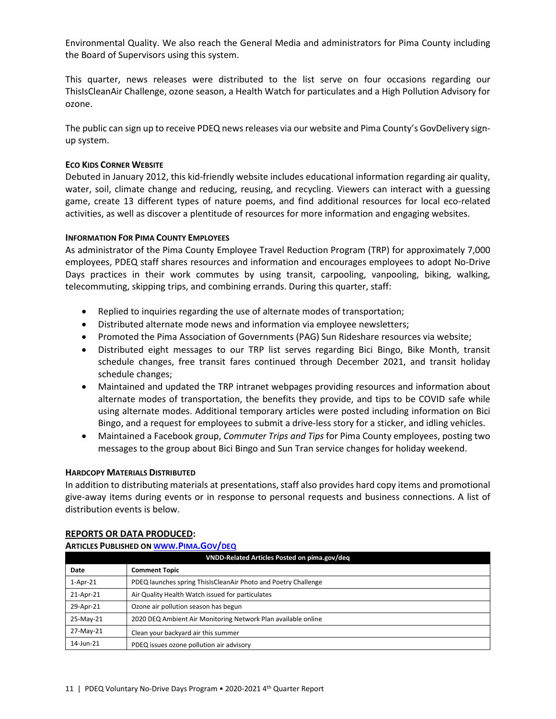Environmental Quality. We also reach the General Media and administrators for Pima County including the Board of Supervisors using this system.

This quarter, news releases were distributed to the list serve on four occasions regarding our ThisIsCleanAir Challenge, ozone season, a Health Watch for particulates and a High Pollution Advisory for ozone.

The public can sign up to receive PDEQ news releases via our website and Pima County's GovDelivery signup system.

### **ECO KIDS CORNER WEBSITE**

Debuted in January 2012, this kid-friendly website includes educational information regarding air quality, water, soil, climate change and reducing, reusing, and recycling. Viewers can interact with a guessing game, create 13 different types of nature poems, and find additional resources for local eco-related activities, as well as discover a plentitude of resources for more information and engaging websites.

#### **INFORMATION FOR PIMA COUNTY EMPLOYEES**

As administrator of the Pima County Employee Travel Reduction Program (TRP) for approximately 7,000 employees, PDEQ staff shares resources and information and encourages employees to adopt No-Drive Days practices in their work commutes by using transit, carpooling, vanpooling, biking, walking, telecommuting, skipping trips, and combining errands. During this quarter, staff:

- Replied to inquiries regarding the use of alternate modes of transportation;
- Distributed alternate mode news and information via employee newsletters;
- Promoted the Pima Association of Governments (PAG) Sun Rideshare resources via website;
- Distributed eight messages to our TRP list serves regarding Bici Bingo, Bike Month, transit schedule changes, free transit fares continued through December 2021, and transit holiday schedule changes;
- Maintained and updated the TRP intranet webpages providing resources and information about alternate modes of transportation, the benefits they provide, and tips to be COVID safe while using alternate modes. Additional temporary articles were posted including information on Bici Bingo, and a request for employees to submit a drive-less story for a sticker, and idling vehicles.
- Maintained a Facebook group, *Commuter Trips and Tips* for Pima County employees, posting two messages to the group about Bici Bingo and Sun Tran service changes for holiday weekend.

#### **HARDCOPY MATERIALS DISTRIBUTED**

In addition to distributing materials at presentations, staff also provides hard copy items and promotional give-away items during events or in response to personal requests and business connections. A list of distribution events is below.

#### **REPORTS OR DATA PRODUCED:**

#### **ARTICLES PUBLISHED ON [WWW.PIMA.GOV/DEQ](http://www.pima.gov/deq)**

| VNDD-Related Articles Posted on pima.gov/deg |                                                                |  |  |
|----------------------------------------------|----------------------------------------------------------------|--|--|
| Date                                         | <b>Comment Topic</b>                                           |  |  |
| $1-Apr-21$                                   | PDEQ launches spring ThislsCleanAir Photo and Poetry Challenge |  |  |
| 21-Apr-21                                    | Air Quality Health Watch issued for particulates               |  |  |
| 29-Apr-21                                    | Ozone air pollution season has begun                           |  |  |
| 25-May-21                                    | 2020 DEQ Ambient Air Monitoring Network Plan available online  |  |  |
| 27-May-21                                    | Clean your backyard air this summer                            |  |  |
| 14-Jun-21                                    | PDEQ issues ozone pollution air advisory                       |  |  |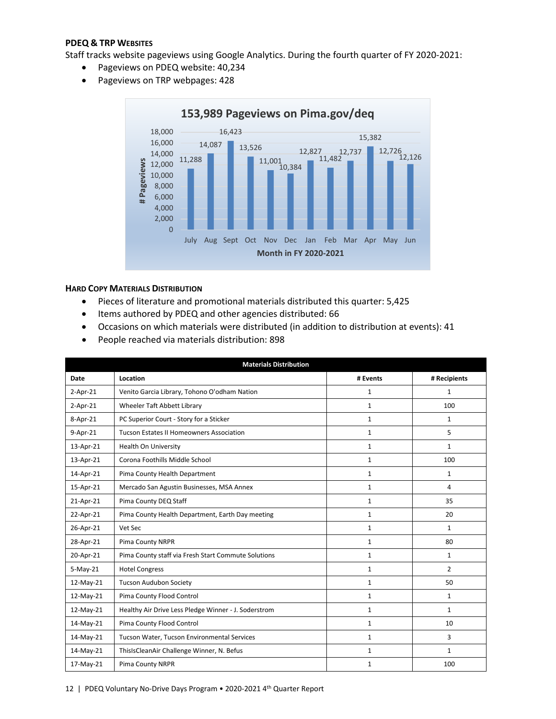#### **PDEQ & TRP WEBSITES**

Staff tracks website pageviews using Google Analytics. During the fourth quarter of FY 2020-2021:

- Pageviews on PDEQ website: 40,234
- Pageviews on TRP webpages: 428



#### **HARD COPY MATERIALS DISTRIBUTION**

- Pieces of literature and promotional materials distributed this quarter: 5,425
- Items authored by PDEQ and other agencies distributed: 66
- Occasions on which materials were distributed (in addition to distribution at events): 41
- People reached via materials distribution: 898

|            | <b>Materials Distribution</b>                        |              |                |
|------------|------------------------------------------------------|--------------|----------------|
| Date       | Location                                             | # Events     | # Recipients   |
| $2-Apr-21$ | Venito Garcia Library, Tohono O'odham Nation         | 1            | $\mathbf{1}$   |
| $2-Apr-21$ | Wheeler Taft Abbett Library                          | $\mathbf{1}$ | 100            |
| 8-Apr-21   | PC Superior Court - Story for a Sticker              | $\mathbf{1}$ | $\mathbf{1}$   |
| 9-Apr-21   | <b>Tucson Estates II Homeowners Association</b>      | $\mathbf{1}$ | 5              |
| 13-Apr-21  | <b>Health On University</b>                          | $\mathbf{1}$ | $\mathbf{1}$   |
| 13-Apr-21  | Corona Foothills Middle School                       | $\mathbf{1}$ | 100            |
| 14-Apr-21  | Pima County Health Department                        | $\mathbf{1}$ | $\mathbf{1}$   |
| 15-Apr-21  | Mercado San Agustin Businesses, MSA Annex            | $\mathbf{1}$ | 4              |
| 21-Apr-21  | Pima County DEQ Staff                                | $\mathbf{1}$ | 35             |
| 22-Apr-21  | Pima County Health Department, Earth Day meeting     | $\mathbf{1}$ | 20             |
| 26-Apr-21  | Vet Sec                                              | $\mathbf{1}$ | $\mathbf{1}$   |
| 28-Apr-21  | Pima County NRPR                                     | $\mathbf{1}$ | 80             |
| 20-Apr-21  | Pima County staff via Fresh Start Commute Solutions  | $\mathbf{1}$ | $\mathbf{1}$   |
| $5-May-21$ | <b>Hotel Congress</b>                                | $\mathbf{1}$ | $\overline{2}$ |
| 12-May-21  | <b>Tucson Audubon Society</b>                        | $\mathbf{1}$ | 50             |
| 12-May-21  | Pima County Flood Control                            | $\mathbf{1}$ | $\mathbf{1}$   |
| 12-May-21  | Healthy Air Drive Less Pledge Winner - J. Soderstrom | $\mathbf{1}$ | $\mathbf{1}$   |
| 14-May-21  | Pima County Flood Control                            | $\mathbf{1}$ | 10             |
| 14-May-21  | Tucson Water, Tucson Environmental Services          | $\mathbf{1}$ | 3              |
| 14-May-21  | ThisIsCleanAir Challenge Winner, N. Befus            | $\mathbf{1}$ | $\mathbf{1}$   |
| 17-May-21  | Pima County NRPR                                     | $\mathbf{1}$ | 100            |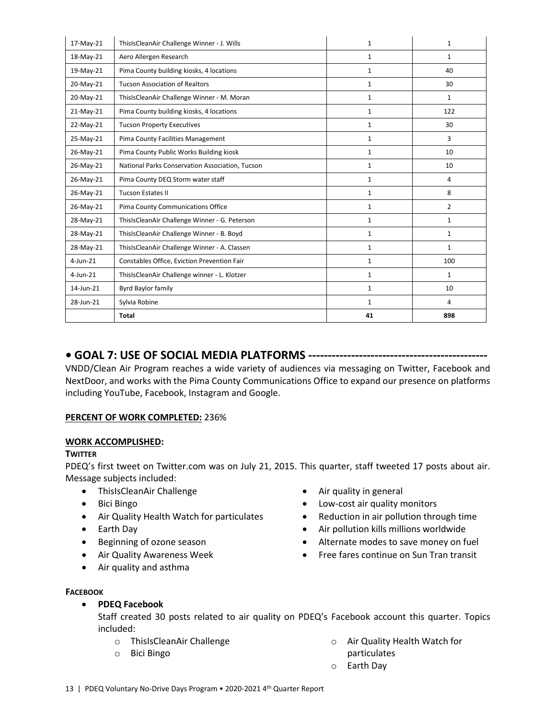| 17-May-21   | ThisIsCleanAir Challenge Winner - J. Wills      | $\mathbf{1}$ | $\mathbf{1}$   |
|-------------|-------------------------------------------------|--------------|----------------|
| 18-May-21   | Aero Allergen Research                          | 1            | $\mathbf{1}$   |
| 19-May-21   | Pima County building kiosks, 4 locations        | $\mathbf{1}$ | 40             |
| 20-May-21   | <b>Tucson Association of Realtors</b>           | 1            | 30             |
| 20-May-21   | ThisIsCleanAir Challenge Winner - M. Moran      | $\mathbf{1}$ | 1              |
| 21-May-21   | Pima County building kiosks, 4 locations        | $\mathbf{1}$ | 122            |
| 22-May-21   | <b>Tucson Property Executives</b>               | $\mathbf{1}$ | 30             |
| 25-May-21   | Pima County Facilities Management               | $\mathbf{1}$ | 3              |
| 26-May-21   | Pima County Public Works Building kiosk         | $\mathbf{1}$ | 10             |
| 26-May-21   | National Parks Conservation Association, Tucson | 1            | 10             |
| 26-May-21   | Pima County DEQ Storm water staff               | $\mathbf{1}$ | 4              |
| 26-May-21   | <b>Tucson Estates II</b>                        | $\mathbf{1}$ | 8              |
| 26-May-21   | Pima County Communications Office               | $\mathbf{1}$ | $\overline{2}$ |
| 28-May-21   | ThisIsCleanAir Challenge Winner - G. Peterson   | 1            | $\mathbf{1}$   |
| 28-May-21   | ThisIsCleanAir Challenge Winner - B. Boyd       | $\mathbf{1}$ | $\mathbf{1}$   |
| 28-May-21   | ThisIsCleanAir Challenge Winner - A. Classen    | $\mathbf{1}$ | $\mathbf{1}$   |
| $4$ -Jun-21 | Constables Office, Eviction Prevention Fair     | 1            | 100            |
| $4$ -Jun-21 | ThisIsCleanAir Challenge winner - L. Klotzer    | $\mathbf{1}$ | $\mathbf{1}$   |
| 14-Jun-21   | Byrd Baylor family                              | $\mathbf{1}$ | 10             |
| 28-Jun-21   | Sylvia Robine                                   | $\mathbf{1}$ | 4              |
|             | <b>Total</b>                                    | 41           | 898            |

## **• GOAL 7: USE OF SOCIAL MEDIA PLATFORMS ----------------------------------------------**

VNDD/Clean Air Program reaches a wide variety of audiences via messaging on Twitter, Facebook and NextDoor, and works with the Pima County Communications Office to expand our presence on platforms including YouTube, Facebook, Instagram and Google.

### **PERCENT OF WORK COMPLETED:** 236%

#### **WORK ACCOMPLISHED:**

### **TWITTER**

PDEQ's first tweet on Twitter.com was on July 21, 2015. This quarter, staff tweeted 17 posts about air. Message subjects included:

- ThisIsCleanAir Challenge
- Bici Bingo
- Air Quality Health Watch for particulates
- Earth Day
- Beginning of ozone season
- Air Quality Awareness Week
- Air quality and asthma

### **FACEBOOK**

• **PDEQ Facebook**

Staff created 30 posts related to air quality on PDEQ's Facebook account this quarter. Topics included:

- o ThisIsCleanAir Challenge
- o Bici Bingo
- o Air Quality Health Watch for particulates
- o Earth Day

• Air quality in general

• Low-cost air quality monitors

• Reduction in air pollution through time • Air pollution kills millions worldwide • Alternate modes to save money on fuel • Free fares continue on Sun Tran transit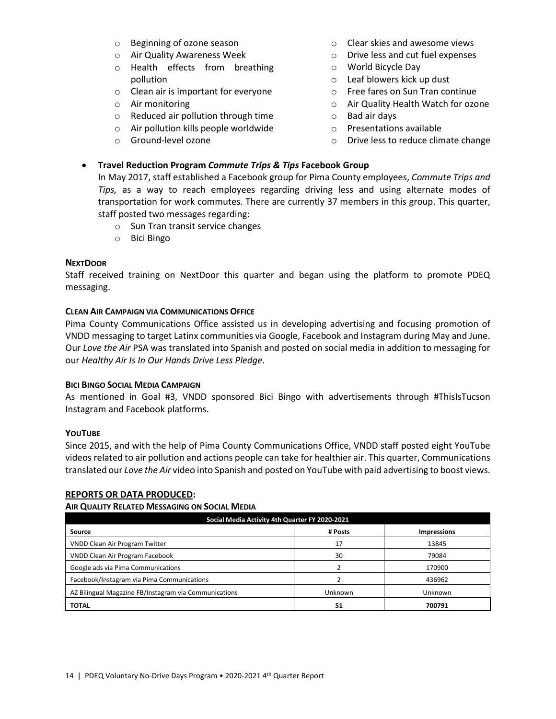- o Beginning of ozone season
- o Air Quality Awareness Week
- o Health effects from breathing pollution
- o Clean air is important for everyone
- o Air monitoring
- o Reduced air pollution through time
- o Air pollution kills people worldwide
- o Ground-level ozone
- o Clear skies and awesome views
- o Drive less and cut fuel expenses
- o World Bicycle Day
- o Leaf blowers kick up dust
- o Free fares on Sun Tran continue
- o Air Quality Health Watch for ozone
- o Bad air days
- o Presentations available
- o Drive less to reduce climate change

### • **Travel Reduction Program** *Commute Trips & Tips* **Facebook Group**

In May 2017, staff established a Facebook group for Pima County employees, *Commute Trips and Tips,* as a way to reach employees regarding driving less and using alternate modes of transportation for work commutes. There are currently 37 members in this group. This quarter, staff posted two messages regarding:

- o Sun Tran transit service changes
- o Bici Bingo

#### **NEXTDOOR**

Staff received training on NextDoor this quarter and began using the platform to promote PDEQ messaging.

#### **CLEAN AIR CAMPAIGN VIA COMMUNICATIONS OFFICE**

Pima County Communications Office assisted us in developing advertising and focusing promotion of VNDD messaging to target Latinx communities via Google, Facebook and Instagram during May and June. Our *Love the Air* PSA was translated into Spanish and posted on social media in addition to messaging for our *Healthy Air Is In Our Hands Drive Less Pledge*.

#### **BICI BINGO SOCIAL MEDIA CAMPAIGN**

As mentioned in Goal #3, VNDD sponsored Bici Bingo with advertisements through #ThisIsTucson Instagram and Facebook platforms.

### **YOUTUBE**

Since 2015, and with the help of Pima County Communications Office, VNDD staff posted eight YouTube videos related to air pollution and actions people can take for healthier air. This quarter, Communications translated our *Love the Air* video into Spanish and posted on YouTube with paid advertising to boost views.

### **REPORTS OR DATA PRODUCED:**

#### **AIR QUALITY RELATED MESSAGING ON SOCIAL MEDIA**

| Social Media Activity 4th Quarter FY 2020-2021        |                |                    |  |  |
|-------------------------------------------------------|----------------|--------------------|--|--|
| Source                                                | # Posts        | <b>Impressions</b> |  |  |
| <b>VNDD Clean Air Program Twitter</b>                 | 17             | 13845              |  |  |
| VNDD Clean Air Program Facebook                       | 30             | 79084              |  |  |
| Google ads via Pima Communications                    |                | 170900             |  |  |
| Facebook/Instagram via Pima Communications            |                | 436962             |  |  |
| AZ Bilingual Magazine FB/Instagram via Communications | <b>Unknown</b> | Unknown            |  |  |
| <b>TOTAL</b>                                          | 51             | 700791             |  |  |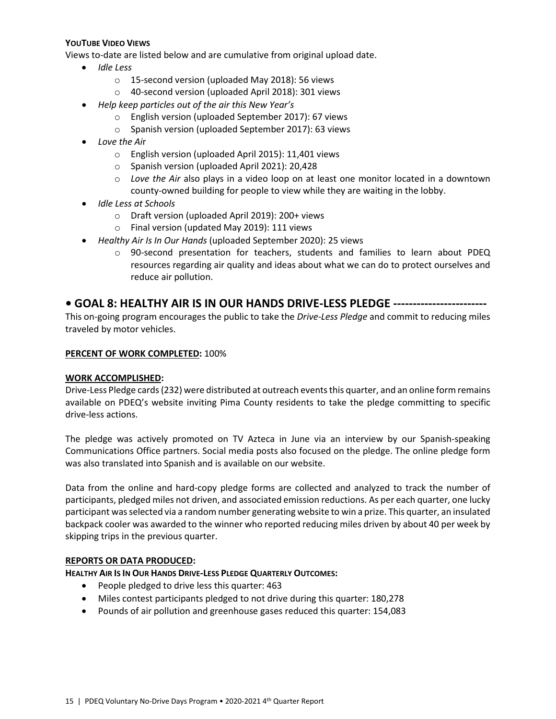### **YOUTUBE VIDEO VIEWS**

Views to-date are listed below and are cumulative from original upload date.

- *Idle Less*
	- o 15-second version (uploaded May 2018): 56 views
	- o 40-second version (uploaded April 2018): 301 views
- *Help keep particles out of the air this New Year's*
	- o English version (uploaded September 2017): 67 views
	- o Spanish version (uploaded September 2017): 63 views
- *Love the Ai*r
	- o English version (uploaded April 2015): 11,401 views
	- o Spanish version (uploaded April 2021): 20,428
	- o *Love the Air* also plays in a video loop on at least one monitor located in a downtown county-owned building for people to view while they are waiting in the lobby.
- *Idle Less at Schools*
	- o Draft version (uploaded April 2019): 200+ views
	- o Final version (updated May 2019): 111 views
- *Healthy Air Is In Our Hands* (uploaded September 2020): 25 views
	- o 90-second presentation for teachers, students and families to learn about PDEQ resources regarding air quality and ideas about what we can do to protect ourselves and reduce air pollution.

## **• GOAL 8: HEALTHY AIR IS IN OUR HANDS DRIVE-LESS PLEDGE ------------------------**

This on-going program encourages the public to take the *Drive-Less Pledge* and commit to reducing miles traveled by motor vehicles.

#### **PERCENT OF WORK COMPLETED:** 100%

### **WORK ACCOMPLISHED:**

Drive-Less Pledge cards (232) were distributed at outreach events this quarter, and an online form remains available on PDEQ's website inviting Pima County residents to take the pledge committing to specific drive-less actions.

The pledge was actively promoted on TV Azteca in June via an interview by our Spanish-speaking Communications Office partners. Social media posts also focused on the pledge. The online pledge form was also translated into Spanish and is available on our website.

Data from the online and hard-copy pledge forms are collected and analyzed to track the number of participants, pledged miles not driven, and associated emission reductions. As per each quarter, one lucky participant was selected via a random number generating website to win a prize. This quarter, an insulated backpack cooler was awarded to the winner who reported reducing miles driven by about 40 per week by skipping trips in the previous quarter.

#### **REPORTS OR DATA PRODUCED:**

**HEALTHY AIR IS IN OUR HANDS DRIVE-LESS PLEDGE QUARTERLY OUTCOMES:**

- People pledged to drive less this quarter: 463
- Miles contest participants pledged to not drive during this quarter: 180,278
- Pounds of air pollution and greenhouse gases reduced this quarter: 154,083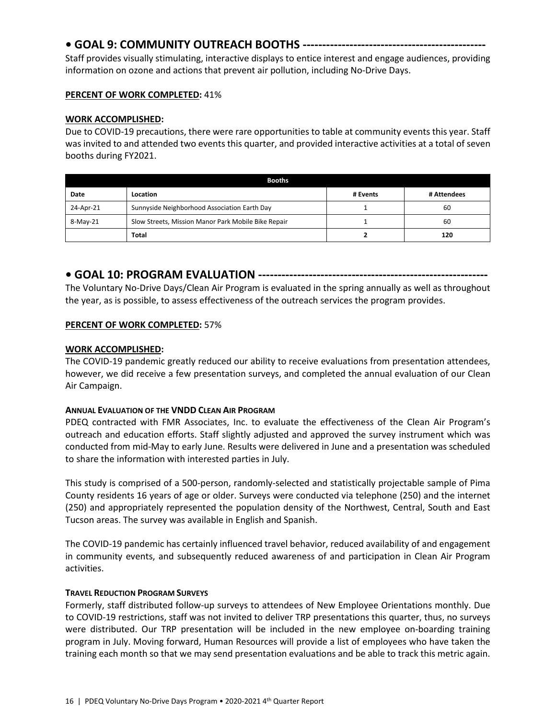## **• GOAL 9: COMMUNITY OUTREACH BOOTHS -----------------------------------------------**

Staff provides visually stimulating, interactive displays to entice interest and engage audiences, providing information on ozone and actions that prevent air pollution, including No-Drive Days.

### **PERCENT OF WORK COMPLETED:** 41%

### **WORK ACCOMPLISHED:**

Due to COVID-19 precautions, there were rare opportunities to table at community events this year. Staff was invited to and attended two events this quarter, and provided interactive activities at a total of seven booths during FY2021.

| <b>Booths</b> |                                                     |          |             |  |
|---------------|-----------------------------------------------------|----------|-------------|--|
| Date          | Location                                            | # Events | # Attendees |  |
| 24-Apr-21     | Sunnyside Neighborhood Association Earth Day        |          | 60          |  |
| 8-May-21      | Slow Streets, Mission Manor Park Mobile Bike Repair |          | 60          |  |
|               | <b>Total</b>                                        |          | 120         |  |

## **• GOAL 10: PROGRAM EVALUATION -----------------------------------------------------------**

The Voluntary No-Drive Days/Clean Air Program is evaluated in the spring annually as well as throughout the year, as is possible, to assess effectiveness of the outreach services the program provides.

### **PERCENT OF WORK COMPLETED:** 57%

### **WORK ACCOMPLISHED:**

The COVID-19 pandemic greatly reduced our ability to receive evaluations from presentation attendees, however, we did receive a few presentation surveys, and completed the annual evaluation of our Clean Air Campaign.

### **ANNUAL EVALUATION OF THE VNDD CLEAN AIR PROGRAM**

PDEQ contracted with FMR Associates, Inc. to evaluate the effectiveness of the Clean Air Program's outreach and education efforts. Staff slightly adjusted and approved the survey instrument which was conducted from mid-May to early June. Results were delivered in June and a presentation was scheduled to share the information with interested parties in July.

This study is comprised of a 500-person, randomly-selected and statistically projectable sample of Pima County residents 16 years of age or older. Surveys were conducted via telephone (250) and the internet (250) and appropriately represented the population density of the Northwest, Central, South and East Tucson areas. The survey was available in English and Spanish.

The COVID-19 pandemic has certainly influenced travel behavior, reduced availability of and engagement in community events, and subsequently reduced awareness of and participation in Clean Air Program activities.

### **TRAVEL REDUCTION PROGRAM SURVEYS**

Formerly, staff distributed follow-up surveys to attendees of New Employee Orientations monthly. Due to COVID-19 restrictions, staff was not invited to deliver TRP presentations this quarter, thus, no surveys were distributed. Our TRP presentation will be included in the new employee on-boarding training program in July. Moving forward, Human Resources will provide a list of employees who have taken the training each month so that we may send presentation evaluations and be able to track this metric again.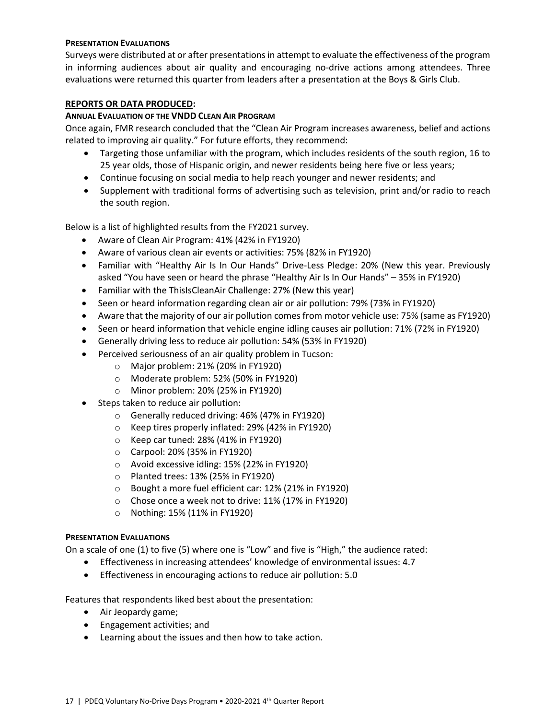#### **PRESENTATION EVALUATIONS**

Surveys were distributed at or after presentations in attempt to evaluate the effectiveness of the program in informing audiences about air quality and encouraging no-drive actions among attendees. Three evaluations were returned this quarter from leaders after a presentation at the Boys & Girls Club.

#### **REPORTS OR DATA PRODUCED:**

#### **ANNUAL EVALUATION OF THE VNDD CLEAN AIR PROGRAM**

Once again, FMR research concluded that the "Clean Air Program increases awareness, belief and actions related to improving air quality." For future efforts, they recommend:

- Targeting those unfamiliar with the program, which includes residents of the south region, 16 to 25 year olds, those of Hispanic origin, and newer residents being here five or less years;
- Continue focusing on social media to help reach younger and newer residents; and
- Supplement with traditional forms of advertising such as television, print and/or radio to reach the south region.

Below is a list of highlighted results from the FY2021 survey.

- Aware of Clean Air Program: 41% (42% in FY1920)
- Aware of various clean air events or activities: 75% (82% in FY1920)
- Familiar with "Healthy Air Is In Our Hands" Drive-Less Pledge: 20% (New this year. Previously asked "You have seen or heard the phrase "Healthy Air Is In Our Hands" – 35% in FY1920)
- Familiar with the ThisIsCleanAir Challenge: 27% (New this year)
- Seen or heard information regarding clean air or air pollution: 79% (73% in FY1920)
- Aware that the majority of our air pollution comes from motor vehicle use: 75% (same as FY1920)
- Seen or heard information that vehicle engine idling causes air pollution: 71% (72% in FY1920)
- Generally driving less to reduce air pollution: 54% (53% in FY1920)
- Perceived seriousness of an air quality problem in Tucson:
	- o Major problem: 21% (20% in FY1920)
	- o Moderate problem: 52% (50% in FY1920)
	- o Minor problem: 20% (25% in FY1920)
- Steps taken to reduce air pollution:
	- o Generally reduced driving: 46% (47% in FY1920)
	- o Keep tires properly inflated: 29% (42% in FY1920)
	- o Keep car tuned: 28% (41% in FY1920)
	- o Carpool: 20% (35% in FY1920)
	- o Avoid excessive idling: 15% (22% in FY1920)
	- o Planted trees: 13% (25% in FY1920)
	- o Bought a more fuel efficient car: 12% (21% in FY1920)
	- o Chose once a week not to drive: 11% (17% in FY1920)
	- o Nothing: 15% (11% in FY1920)

#### **PRESENTATION EVALUATIONS**

On a scale of one (1) to five (5) where one is "Low" and five is "High," the audience rated:

- Effectiveness in increasing attendees' knowledge of environmental issues: 4.7
- Effectiveness in encouraging actions to reduce air pollution: 5.0

Features that respondents liked best about the presentation:

- Air Jeopardy game;
- Engagement activities; and
- Learning about the issues and then how to take action.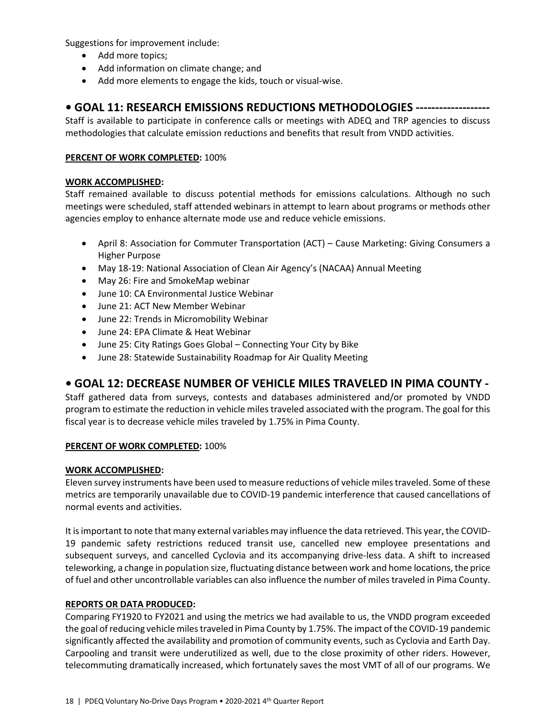Suggestions for improvement include:

- Add more topics;
- Add information on climate change; and
- Add more elements to engage the kids, touch or visual-wise.

## **• GOAL 11: RESEARCH EMISSIONS REDUCTIONS METHODOLOGIES -------------------**

Staff is available to participate in conference calls or meetings with ADEQ and TRP agencies to discuss methodologies that calculate emission reductions and benefits that result from VNDD activities.

### **PERCENT OF WORK COMPLETED:** 100%

### **WORK ACCOMPLISHED:**

Staff remained available to discuss potential methods for emissions calculations. Although no such meetings were scheduled, staff attended webinars in attempt to learn about programs or methods other agencies employ to enhance alternate mode use and reduce vehicle emissions.

- April 8: Association for Commuter Transportation (ACT) Cause Marketing: Giving Consumers a Higher Purpose
- May 18-19: National Association of Clean Air Agency's (NACAA) Annual Meeting
- May 26: Fire and SmokeMap webinar
- June 10: CA Environmental Justice Webinar
- June 21: ACT New Member Webinar
- June 22: Trends in Micromobility Webinar
- June 24: EPA Climate & Heat Webinar
- June 25: City Ratings Goes Global Connecting Your City by Bike
- June 28: Statewide Sustainability Roadmap for Air Quality Meeting

# **• GOAL 12: DECREASE NUMBER OF VEHICLE MILES TRAVELED IN PIMA COUNTY -**

Staff gathered data from surveys, contests and databases administered and/or promoted by VNDD program to estimate the reduction in vehicle miles traveled associated with the program. The goal for this fiscal year is to decrease vehicle miles traveled by 1.75% in Pima County.

### **PERCENT OF WORK COMPLETED:** 100%

### **WORK ACCOMPLISHED:**

Eleven survey instruments have been used to measure reductions of vehicle miles traveled. Some of these metrics are temporarily unavailable due to COVID-19 pandemic interference that caused cancellations of normal events and activities.

It is important to note that many external variables may influence the data retrieved. This year, the COVID-19 pandemic safety restrictions reduced transit use, cancelled new employee presentations and subsequent surveys, and cancelled Cyclovia and its accompanying drive-less data. A shift to increased teleworking, a change in population size, fluctuating distance between work and home locations, the price of fuel and other uncontrollable variables can also influence the number of miles traveled in Pima County.

### **REPORTS OR DATA PRODUCED:**

Comparing FY1920 to FY2021 and using the metrics we had available to us, the VNDD program exceeded the goal of reducing vehicle miles traveled in Pima County by 1.75%. The impact of the COVID-19 pandemic significantly affected the availability and promotion of community events, such as Cyclovia and Earth Day. Carpooling and transit were underutilized as well, due to the close proximity of other riders. However, telecommuting dramatically increased, which fortunately saves the most VMT of all of our programs. We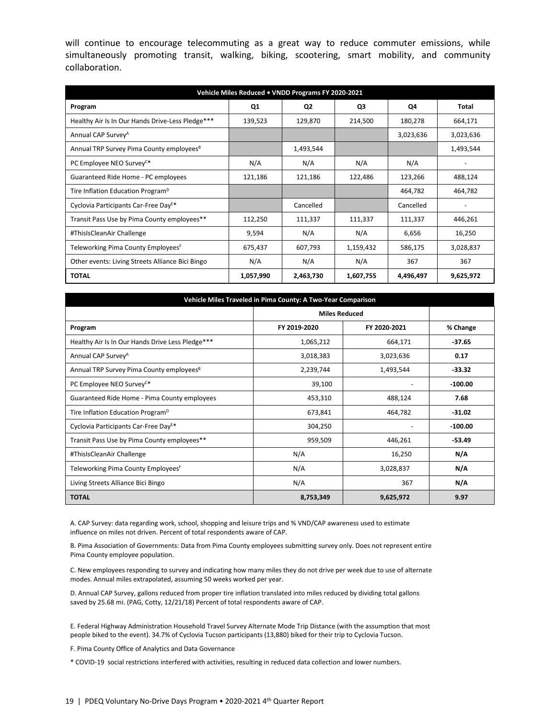will continue to encourage telecommuting as a great way to reduce commuter emissions, while simultaneously promoting transit, walking, biking, scootering, smart mobility, and community collaboration.

| Vehicle Miles Reduced . VNDD Programs FY 2020-2021   |           |           |           |           |           |
|------------------------------------------------------|-----------|-----------|-----------|-----------|-----------|
| Program                                              | Q1        | Q2        | Q3        | Q4        | Total     |
| Healthy Air Is In Our Hands Drive-Less Pledge***     | 139,523   | 129,870   | 214,500   | 180,278   | 664,171   |
| Annual CAP Survey <sup>A</sup>                       |           |           |           | 3,023,636 | 3,023,636 |
| Annual TRP Survey Pima County employees <sup>B</sup> |           | 1,493,544 |           |           | 1,493,544 |
| PC Employee NEO Survey <sup>C*</sup>                 | N/A       | N/A       | N/A       | N/A       |           |
| Guaranteed Ride Home - PC employees                  | 121,186   | 121,186   | 122,486   | 123,266   | 488,124   |
| Tire Inflation Education Program <sup>D</sup>        |           |           |           | 464,782   | 464,782   |
| Cyclovia Participants Car-Free Day <sup>E*</sup>     |           | Cancelled |           | Cancelled |           |
| Transit Pass Use by Pima County employees**          | 112,250   | 111,337   | 111,337   | 111,337   | 446,261   |
| #ThisIsCleanAir Challenge                            | 9,594     | N/A       | N/A       | 6,656     | 16,250    |
| Teleworking Pima County Employees <sup>F</sup>       | 675,437   | 607,793   | 1,159,432 | 586,175   | 3,028,837 |
| Other events: Living Streets Alliance Bici Bingo     | N/A       | N/A       | N/A       | 367       | 367       |
| <b>TOTAL</b>                                         | 1,057,990 | 2,463,730 | 1,607,755 | 4,496,497 | 9,625,972 |

| Vehicle Miles Traveled in Pima County: A Two-Year Comparison |                      |              |           |  |  |  |
|--------------------------------------------------------------|----------------------|--------------|-----------|--|--|--|
|                                                              | <b>Miles Reduced</b> |              |           |  |  |  |
| Program                                                      | FY 2019-2020         | FY 2020-2021 | % Change  |  |  |  |
| Healthy Air Is In Our Hands Drive Less Pledge***             | 1,065,212            | 664,171      | $-37.65$  |  |  |  |
| Annual CAP Survey <sup>A</sup>                               | 3,018,383            | 3,023,636    | 0.17      |  |  |  |
| Annual TRP Survey Pima County employees <sup>8</sup>         | 2,239,744            | 1,493,544    | $-33.32$  |  |  |  |
| PC Employee NEO Survey <sup>C*</sup>                         | 39,100               |              | $-100.00$ |  |  |  |
| Guaranteed Ride Home - Pima County employees                 | 453,310              | 488,124      | 7.68      |  |  |  |
| Tire Inflation Education Program <sup>D</sup>                | 673,841              | 464,782      | $-31.02$  |  |  |  |
| Cyclovia Participants Car-Free Day <sup>E*</sup>             | 304,250              |              | $-100.00$ |  |  |  |
| Transit Pass Use by Pima County employees**                  | 959,509              | 446,261      | $-53.49$  |  |  |  |
| #ThisIsCleanAir Challenge                                    | N/A                  | 16,250       | N/A       |  |  |  |
| Teleworking Pima County Employees <sup>F</sup>               | N/A                  | 3,028,837    | N/A       |  |  |  |
| Living Streets Alliance Bici Bingo                           | N/A                  | 367          | N/A       |  |  |  |
| <b>TOTAL</b>                                                 | 8,753,349            | 9,625,972    | 9.97      |  |  |  |

A. CAP Survey: data regarding work, school, shopping and leisure trips and % VND/CAP awareness used to estimate influence on miles not driven. Percent of total respondents aware of CAP.

B. Pima Association of Governments: Data from Pima County employees submitting survey only. Does not represent entire Pima County employee population.

C. New employees responding to survey and indicating how many miles they do not drive per week due to use of alternate modes. Annual miles extrapolated, assuming 50 weeks worked per year.

D. Annual CAP Survey, gallons reduced from proper tire inflation translated into miles reduced by dividing total gallons saved by 25.68 mi. (PAG, Cotty, 12/21/18) Percent of total respondents aware of CAP.

E. Federal Highway Administration Household Travel Survey Alternate Mode Trip Distance (with the assumption that most people biked to the event). 34.7% of Cyclovia Tucson participants (13,880) biked for their trip to Cyclovia Tucson.

F. Pima County Office of Analytics and Data Governance

\* COVID-19 social restrictions interfered with activities, resulting in reduced data collection and lower numbers.